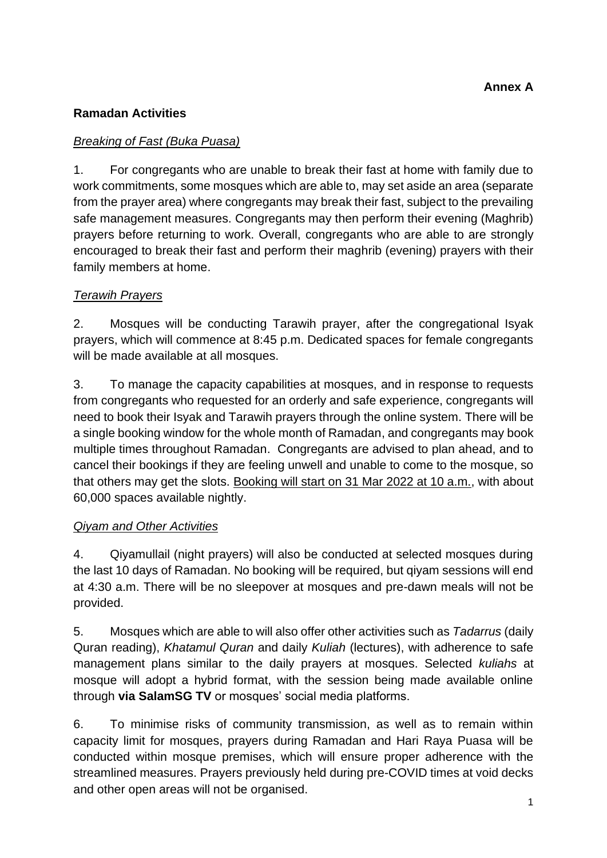## **Ramadan Activities**

### *Breaking of Fast (Buka Puasa)*

1. For congregants who are unable to break their fast at home with family due to work commitments, some mosques which are able to, may set aside an area (separate from the prayer area) where congregants may break their fast, subject to the prevailing safe management measures. Congregants may then perform their evening (Maghrib) prayers before returning to work. Overall, congregants who are able to are strongly encouraged to break their fast and perform their maghrib (evening) prayers with their family members at home.

### *Terawih Prayers*

2. Mosques will be conducting Tarawih prayer, after the congregational Isyak prayers, which will commence at 8:45 p.m. Dedicated spaces for female congregants will be made available at all mosques.

3. To manage the capacity capabilities at mosques, and in response to requests from congregants who requested for an orderly and safe experience, congregants will need to book their Isyak and Tarawih prayers through the online system. There will be a single booking window for the whole month of Ramadan, and congregants may book multiple times throughout Ramadan. Congregants are advised to plan ahead, and to cancel their bookings if they are feeling unwell and unable to come to the mosque, so that others may get the slots. Booking will start on 31 Mar 2022 at 10 a.m., with about 60,000 spaces available nightly.

#### *Qiyam and Other Activities*

4. Qiyamullail (night prayers) will also be conducted at selected mosques during the last 10 days of Ramadan. No booking will be required, but qiyam sessions will end at 4:30 a.m. There will be no sleepover at mosques and pre-dawn meals will not be provided.

5. Mosques which are able to will also offer other activities such as *Tadarrus* (daily Quran reading), *Khatamul Quran* and daily *Kuliah* (lectures), with adherence to safe management plans similar to the daily prayers at mosques. Selected *kuliahs* at mosque will adopt a hybrid format, with the session being made available online through **via SalamSG TV** or mosques' social media platforms.

6. To minimise risks of community transmission, as well as to remain within capacity limit for mosques, prayers during Ramadan and Hari Raya Puasa will be conducted within mosque premises, which will ensure proper adherence with the streamlined measures. Prayers previously held during pre-COVID times at void decks and other open areas will not be organised.